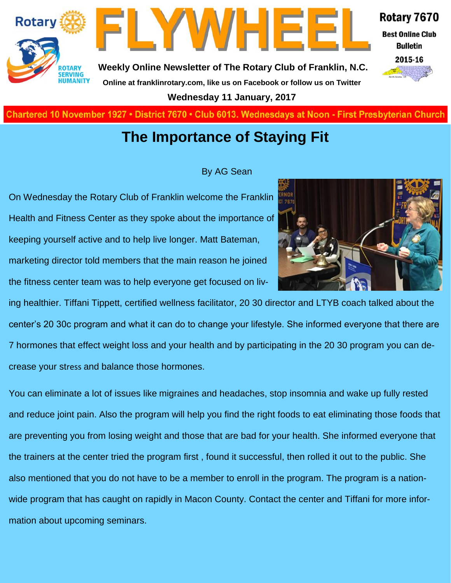

LYWHEE

**Weekly Online Newsletter of The Rotary Club of Franklin, N.C. Online at franklinrotary.com, like us on Facebook or follow us on Twitter**

**Wednesday 11 January, 2017**

**Charted November 29, 1927 • District 7670 • Club 6013 Wednesdays at Noon - First Presbyterian Church**

#### **The Importance of Staying Fit**

#### By AG Sean

On Wednesday the Rotary Club of Franklin welcome the Franklin Health and Fitness Center as they spoke about the importance of keeping yourself active and to help live longer. Matt Bateman, marketing director told members that the main reason he joined the fitness center team was to help everyone get focused on liv-



ing healthier. Tiffani Tippett, certified wellness facilitator, 20 30 director and LTYB coach talked about the center's 20 30c program and what it can do to change your lifestyle. She informed everyone that there are 7 hormones that effect weight loss and your health and by participating in the 20 30 program you can decrease your stress and balance those hormones.

You can eliminate a lot of issues like migraines and headaches, stop insomnia and wake up fully rested and reduce joint pain. Also the program will help you find the right foods to eat eliminating those foods that are preventing you from losing weight and those that are bad for your health. She informed everyone that the trainers at the center tried the program first , found it successful, then rolled it out to the public. She also mentioned that you do not have to be a member to enroll in the program. The program is a nationwide program that has caught on rapidly in Macon County. Contact the center and Tiffani for more information about upcoming seminars.

**Best Online Club** 

Rotary 7670

**Bulletin** 2015-16

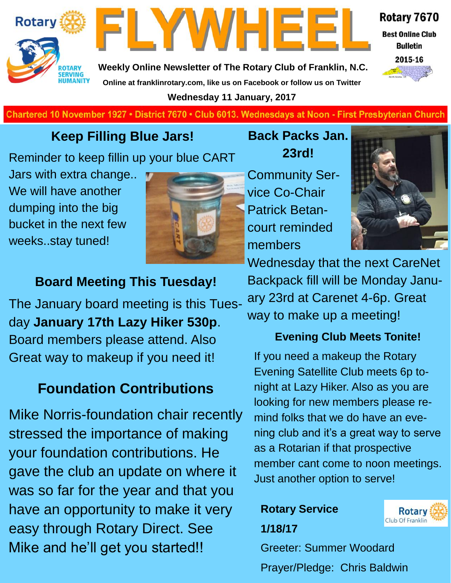



**Best Online Club Bulletin** 

Rotary 7670

2015-16

**Weekly Online Newsletter of The Rotary Club of Franklin, N.C. Online at franklinrotary.com, like us on Facebook or follow us on Twitter**

**Wednesday 11 January, 2017**

**Charted November 29, 1927 • District 7670 • Club 6013 Wednesdays at Noon - First Presbyterian Church**

#### **Keep Filling Blue Jars!**

Reminder to keep fillin up your blue CART

Jars with extra change.. We will have another dumping into the big bucket in the next few weeks..stay tuned!



#### **Board Meeting This Tuesday!**

The January board meeting is this Tuesday **January 17th Lazy Hiker 530p**. Board members please attend. Also Great way to makeup if you need it!

## **Foundation Contributions**

Mike Norris-foundation chair recently stressed the importance of making your foundation contributions. He gave the club an update on where it was so far for the year and that you have an opportunity to make it very easy through Rotary Direct. See Mike and he'll get you started!!

**23rd!** Community Ser-

vice Co-Chair Patrick Betancourt reminded members



Wednesday that the next CareNet Backpack fill will be Monday January 23rd at Carenet 4-6p. Great way to make up a meeting!

#### **Evening Club Meets Tonite!**

If you need a makeup the Rotary Evening Satellite Club meets 6p tonight at Lazy Hiker. Also as you are looking for new members please remind folks that we do have an evening club and it's a great way to serve as a Rotarian if that prospective member cant come to noon meetings. Just another option to serve!

### **Rotary Service 1/18/17**



Greeter: Summer Woodard Prayer/Pledge: Chris Baldwin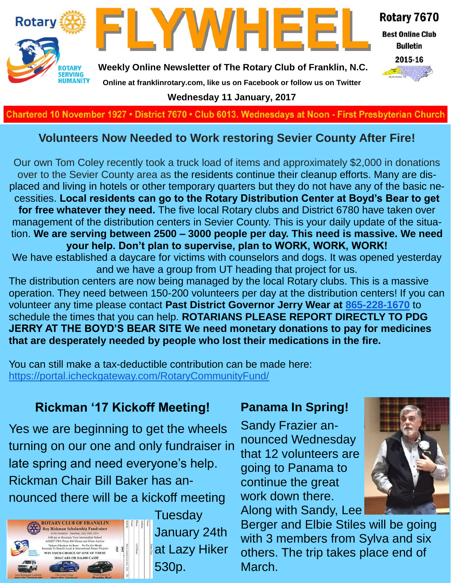

**Charted November 29, 1927 • District 7670 • Club 6013 Wednesdays at Noon - First Presbyterian Church**

#### **Volunteers Now Needed to Work restoring Sevier County After Fire!**

Our own Tom Coley recently took a truck load of items and approximately \$2,000 in donations over to the Sevier County area as the residents continue their cleanup efforts. Many are displaced and living in hotels or other temporary quarters but they do not have any of the basic necessities. **Local residents can go to the Rotary Distribution Center at Boyd's Bear to get for free whatever they need.** The five local Rotary clubs and District 6780 have taken over management of the distribution centers in Sevier County. This is your daily update of the situation. **We are serving between 2500 – 3000 people per day. This need is massive. We need your help. Don't plan to supervise, plan to WORK, WORK, WORK!** We have established a daycare for victims with counselors and dogs. It was opened yesterday and we have a group from UT heading that project for us. The distribution centers are now being managed by the local Rotary clubs. This is a massive operation. They need between 150-200 volunteers per day at the distribution centers! If you can volunteer any time please contact **Past District Governor Jerry Wear at [865-228-1670](tel:(865)%20228-1670)** to

schedule the times that you can help. **ROTARIANS PLEASE REPORT DIRECTLY TO PDG JERRY AT THE BOYD'S BEAR SITE We need monetary donations to pay for medicines that are desperately needed by people who lost their medications in the fire.**

You can still make a tax-deductible contribution can be made here: <https://portal.icheckgateway.com/RotaryCommunityFund/>

#### **Rickman '17 Kickoff Meeting!**

Yes we are beginning to get the wheels turning on our one and only fundraiser in late spring and need everyone's help. Rickman Chair Bill Baker has announced there will be a kickoff meeting



**Tuesday** January 24th at Lazy Hiker 530p.

#### **Panama In Spring!**

Sandy Frazier announced Wednesday that 12 volunteers are going to Panama to continue the great work down there. Along with Sandy, Lee

Berger and Elbie Stiles will be going with 3 members from Sylva and six others. The trip takes place end of March.

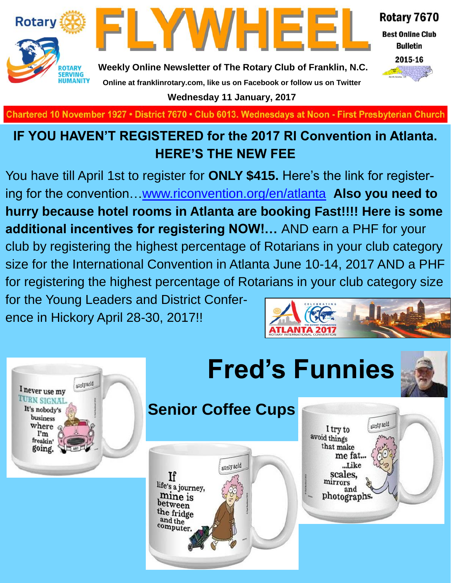



Rotary 7670

**Best Online Club Bulletin** 

2015-16

**Weekly Online Newsletter of The Rotary Club of Franklin, N.C. Online at franklinrotary.com, like us on Facebook or follow us on Twitter**

**Wednesday 11 January, 2017**

**Charted November 29, 1927 • District 7670 • Club 6013 Wednesdays at Noon - First Presbyterian Church**

## **IF YOU HAVEN'T REGISTERED for the 2017 RI Convention in Atlanta. HERE'S THE NEW FEE**

You have till April 1st to register for **ONLY \$415.** Here's the link for registering for the convention[…www.riconvention.org/en/atlanta](http://www.riconvention.org/en/atlanta) **Also you need to hurry because hotel rooms in Atlanta are booking Fast!!!! Here is some additional incentives for registering NOW!…** AND earn a PHF for your club by registering the highest percentage of Rotarians in your club category size for the International Convention in Atlanta June 10-14, 2017 AND a PHF for registering the highest percentage of Rotarians in your club category size for the Young Leaders and District Confer-**The Second Second Second Second** ence in Hickory April 28-30, 2017!!







## **Senior Coffee Cups**



aunty acid I try to avoid things that make me fat... ...Like scales, mirrors and photographs.